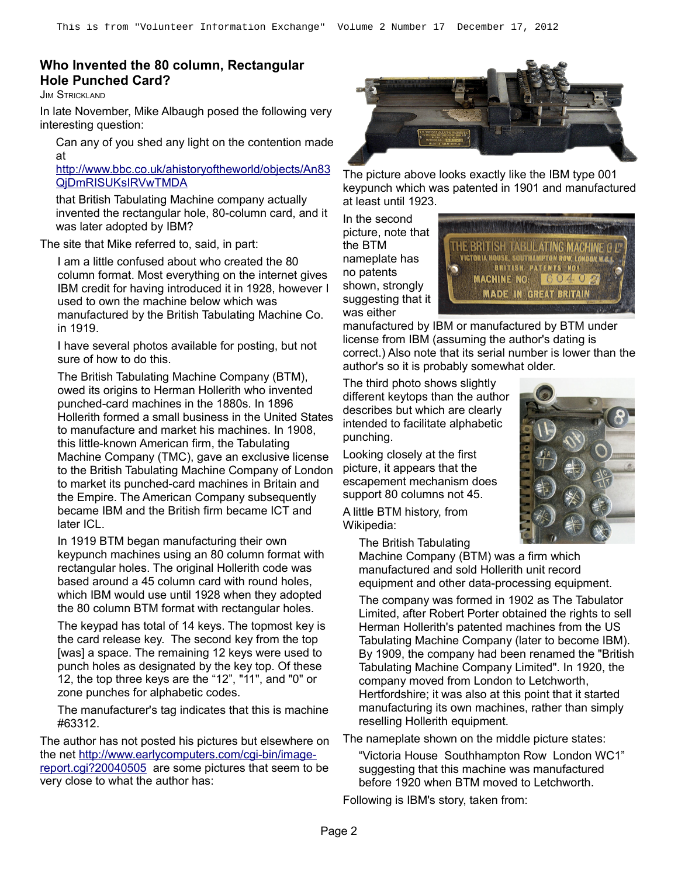## **Who Invented the 80 column, Rectangular Hole Punched Card?**

JIM STRICKLAND

In late November, Mike Albaugh posed the following very interesting question:

Can any of you shed any light on the contention made at

### http://www.bbc.co.uk/ahistoryoftheworld/objects/An83 QjDmRISUKsIRVwTMDA

that British Tabulating Machine company actually invented the rectangular hole, 80-column card, and it was later adopted by IBM?

The site that Mike referred to, said, in part:

I am a little confused about who created the 80 column format. Most everything on the internet gives IBM credit for having introduced it in 1928, however I used to own the machine below which was manufactured by the British Tabulating Machine Co. in 1919.

I have several photos available for posting, but not sure of how to do this.

The British Tabulating Machine Company (BTM), owed its origins to Herman Hollerith who invented punched-card machines in the 1880s. In 1896 Hollerith formed a small business in the United States to manufacture and market his machines. In 1908, this little-known American firm, the Tabulating Machine Company (TMC), gave an exclusive license to the British Tabulating Machine Company of London to market its punched-card machines in Britain and the Empire. The American Company subsequently became IBM and the British firm became ICT and later ICL.

In 1919 BTM began manufacturing their own keypunch machines using an 80 column format with rectangular holes. The original Hollerith code was based around a 45 column card with round holes, which IBM would use until 1928 when they adopted the 80 column BTM format with rectangular holes.

The keypad has total of 14 keys. The topmost key is the card release key. The second key from the top [was] a space. The remaining 12 keys were used to punch holes as designated by the key top. Of these 12, the top three keys are the "12", "11", and "0" or zone punches for alphabetic codes.

The manufacturer's tag indicates that this is machine #63312.

The author has not posted his pictures but elsewhere on the net http://www.earlycomputers.com/cgi-bin/imagereport.cgi?20040505 are some pictures that seem to be very close to what the author has:



The picture above looks exactly like the IBM type 001 keypunch which was patented in 1901 and manufactured at least until 1923.

In the second picture, note that the BTM nameplate has no patents shown, strongly suggesting that it was either



manufactured by IBM or manufactured by BTM under license from IBM (assuming the author's dating is correct.) Also note that its serial number is lower than the author's so it is probably somewhat older.

The third photo shows slightly different keytops than the author describes but which are clearly intended to facilitate alphabetic punching.

Looking closely at the first picture, it appears that the escapement mechanism does support 80 columns not 45.

A little BTM history, from Wikipedia:

> The British Tabulating Machine Company (BTM) was a firm which manufactured and sold Hollerith unit record equipment and other data-processing equipment.

The company was formed in 1902 as The Tabulator Limited, after Robert Porter obtained the rights to sell Herman Hollerith's patented machines from the US Tabulating Machine Company (later to become IBM). By 1909, the company had been renamed the "British Tabulating Machine Company Limited". In 1920, the company moved from London to Letchworth, Hertfordshire; it was also at this point that it started manufacturing its own machines, rather than simply reselling Hollerith equipment.

The nameplate shown on the middle picture states:

"Victoria House Southhampton Row London WC1" suggesting that this machine was manufactured before 1920 when BTM moved to Letchworth.

Following is IBM's story, taken from: